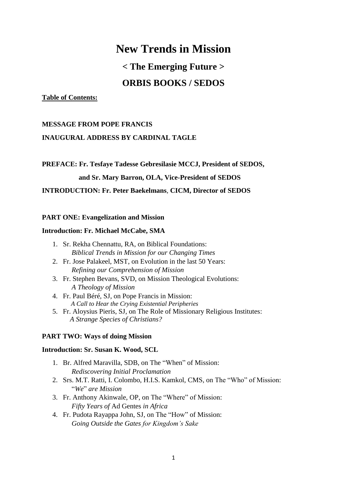## **New Trends in Mission**

# **< The Emerging Future >**

### **ORBIS BOOKS / SEDOS**

#### **Table of Contents:**

#### **MESSAGE FROM POPE FRANCIS**

#### **INAUGURAL ADDRESS BY CARDINAL TAGLE**

**PREFACE: Fr. Tesfaye Tadesse Gebresilasie MCCJ, President of SEDOS,**

#### **and Sr. Mary Barron, OLA, Vice-President of SEDOS**

#### **INTRODUCTION: Fr. Peter Baekelmans**, **CICM, Director of SEDOS**

#### **PART ONE: Evangelization and Mission**

#### **Introduction: Fr. Michael McCabe, SMA**

- 1. Sr. Rekha Chennattu, RA, on Biblical Foundations:  *Biblical Trends in Mission for our Changing Times*
- 2. Fr. Jose Palakeel, MST, on Evolution in the last 50 Years:  *Refining our Comprehension of Mission*
- 3. Fr. Stephen Bevans, SVD, on Mission Theological Evolutions:  *A Theology of Mission*
- 4. Fr. Paul Béré, SJ, on Pope Francis in Mission:  *A Call to Hear the Crying Existential Peripheries*
- 5. Fr. Aloysius Pieris, SJ, on The Role of Missionary Religious Institutes: *A Strange Species of Christians?*

#### **PART TWO: Ways of doing Mission**

#### **Introduction: Sr. Susan K. Wood, SCL**

- 1. Br. Alfred Maravilla, SDB, on The "When" of Mission:  *Rediscovering Initial Proclamation*
- 2. Srs. M.T. Ratti, I. Colombo, H.I.S. Kamkol, CMS, on The "Who" of Mission: "*We*" *are Mission*
- 3. Fr. Anthony Akinwale, OP, on The "Where" of Mission:  *Fifty Years of* Ad Gentes *in Africa*
- 4. Fr. Pudota Rayappa John, SJ, on The "How" of Mission: *Going Outside the Gates for Kingdom's Sake*